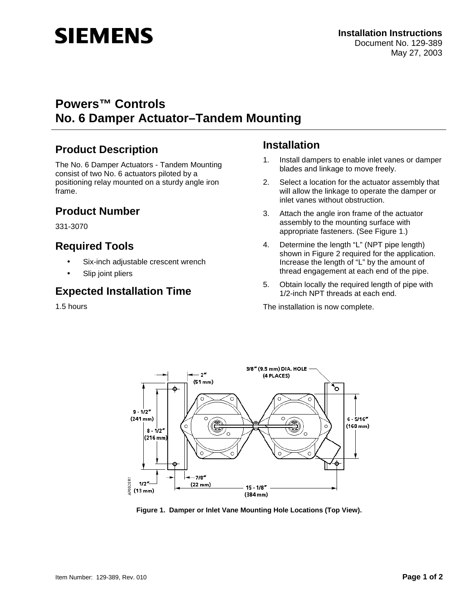# **SIEMENS**

# **Powers™ Controls No. 6 Damper Actuator–Tandem Mounting**

# **Product Description**

The No. 6 Damper Actuators - Tandem Mounting consist of two No. 6 actuators piloted by a positioning relay mounted on a sturdy angle iron frame.

#### **Product Number**

331-3070

# **Required Tools**

- Six-inch adjustable crescent wrench
- Slip joint pliers

## **Expected Installation Time**

1.5 hours

## **Installation**

- 1. Install dampers to enable inlet vanes or damper blades and linkage to move freely.
- 2. Select a location for the actuator assembly that will allow the linkage to operate the damper or inlet vanes without obstruction.
- 3. Attach the angle iron frame of the actuator assembly to the mounting surface with appropriate fasteners. (See Figure 1.)
- 4. Determine the length "L" (NPT pipe length) shown in Figure 2 required for the application. Increase the length of "L" by the amount of thread engagement at each end of the pipe.
- 5. Obtain locally the required length of pipe with 1/2-inch NPT threads at each end.

The installation is now complete.



**Figure 1. Damper or Inlet Vane Mounting Hole Locations (Top View).**